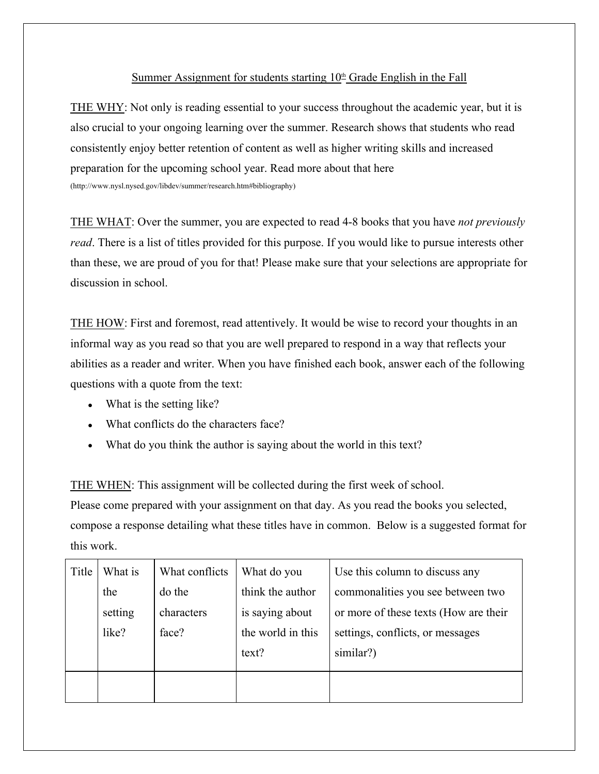## Summer Assignment for students starting  $10<sup>th</sup>$  Grade English in the Fall

THE WHY: Not only is reading essential to your success throughout the academic year, but it is also crucial to your ongoing learning over the summer. Research shows that students who read consistently enjoy better retention of content as well as higher writing skills and increased preparation for the upcoming school year. Read more about that here (http://www.nysl.nysed.gov/libdev/summer/research.htm#bibliography)

THE WHAT: Over the summer, you are expected to read 4-8 books that you have *not previously read*. There is a list of titles provided for this purpose. If you would like to pursue interests other than these, we are proud of you for that! Please make sure that your selections are appropriate for discussion in school.

THE HOW: First and foremost, read attentively. It would be wise to record your thoughts in an informal way as you read so that you are well prepared to respond in a way that reflects your abilities as a reader and writer. When you have finished each book, answer each of the following questions with a quote from the text:

- What is the setting like?
- What conflicts do the characters face?
- What do you think the author is saying about the world in this text?

THE WHEN: This assignment will be collected during the first week of school.

Please come prepared with your assignment on that day. As you read the books you selected, compose a response detailing what these titles have in common. Below is a suggested format for this work.

| Title | What is | What conflicts | What do you       | Use this column to discuss any        |
|-------|---------|----------------|-------------------|---------------------------------------|
|       | the     | do the         | think the author  | commonalities you see between two     |
|       | setting | characters     | is saying about   | or more of these texts (How are their |
|       | like?   | face?          | the world in this | settings, conflicts, or messages      |
|       |         |                | text?             | similar?)                             |
|       |         |                |                   |                                       |
|       |         |                |                   |                                       |
|       |         |                |                   |                                       |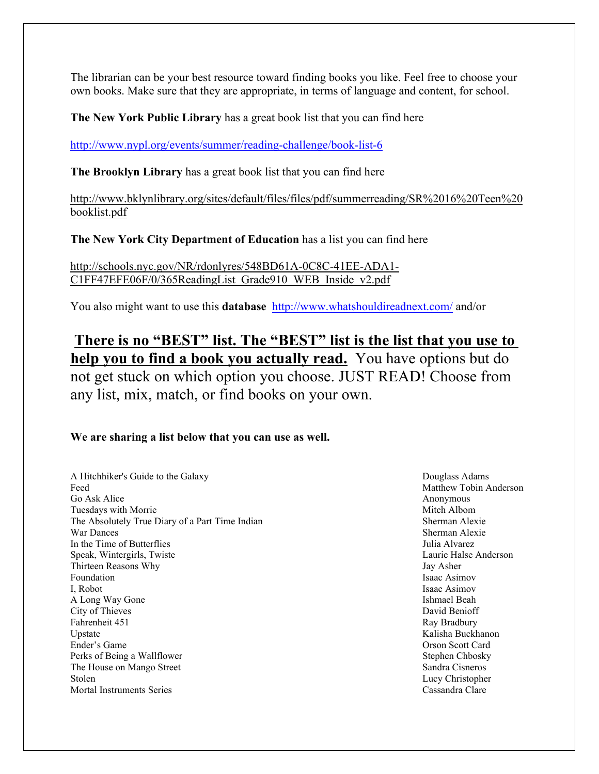The librarian can be your best resource toward finding books you like. Feel free to choose your own books. Make sure that they are appropriate, in terms of language and content, for school.

**The New York Public Library** has a great book list that you can find here

<http://www.nypl.org/events/summer/reading-challenge/book-list-6>

**The Brooklyn Library** has a great book list that you can find here

http://www.bklynlibrary.org/sites/default/files/files/pdf/summerreading/SR%2016%20Teen%20 booklist.pdf

**The New York City Department of Education** has a list you can find here

http://schools.nyc.gov/NR/rdonlyres/548BD61A-0C8C-41EE-ADA1- C1FF47EFE06F/0/365ReadingList\_Grade910\_WEB\_Inside\_v2.pdf

You also might want to use this **database** <http://www.whatshouldireadnext.com/>and/or

**There is no "BEST" list. The "BEST" list is the list that you use to help you to find a book you actually read.** You have options but do not get stuck on which option you choose. JUST READ! Choose from any list, mix, match, or find books on your own.

## **We are sharing a list below that you can use as well.**

A Hitchhiker's Guide to the Galaxy Douglass Adams Feed Matthew Tobin Anderson Go Ask Alice Anonymous Anonymous Tuesdays with Morrie **Mitch Albom** Mitch Albom The Absolutely True Diary of a Part Time Indian Sherman Alexie War Dances Sherman Alexie In the Time of Butterflies **Iulia** Alvarez Speak, Wintergirls, Twiste Laurie Halse Anderson Thirteen Reasons Why Jay Asher Foundation Isaac Asimov Isaac Asimov Isaac Asimov Isaac Asimov Isaac Asimov Isaac Asimov Isaac Asimov Isaac Asimov Isaac Asimov Isaac Asimov Isaac Asimov Isaac Asimov Isaac Asimov Isaac Asimov Isaac Asimov Isaac Asimov Isa I, Robot Isaac Asimov A Long Way Gone Ishmael Beah City of Thieves David Benioff Fahrenheit 451 Ray Bradbury Ray Bradbury Ray Bradbury Ray Bradbury Ray Bradbury Ray Bradbury Ray Bradbury Ray Bradbury Ray Bradbury Ray Bradbury Ray Bradbury Ray Bradbury Ray Bradbury Ray Bradbury Ray Bradbury Ray Bradbury Upstate Kalisha Buckhanon Ender's Game Orson Scott Card Perks of Being a Wallflower Stephen Chbosky The House on Mango Street Sandra Cisneros Sandra Cisneros Stolen Lucy Christopher Mortal Instruments Series Cassandra Clare